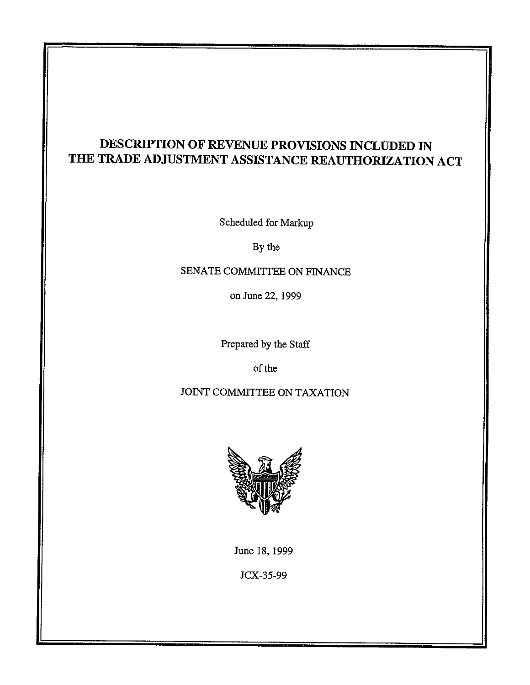# **DESCRIPTION OF REVENUE PROVISIONS INCLUDED IN THE TRADE ADJUSTMENT ASSISTANCE REAUTHORIZATION ACT**

Scheduled for Markup

By the

SENATE COMMITTEE ON FINANCE

on June 22, 1999

Prepared by the Staff

of the

JOINT COMMITTEE ON TAXATION



June 18, 1999

JCX-35-99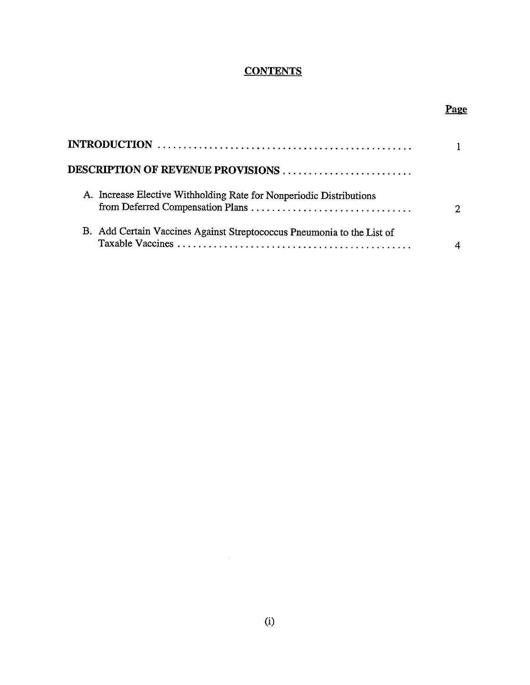# **CONTENTS**

# Page

| DESCRIPTION OF REVENUE PROVISIONS |                                                                        |   |
|-----------------------------------|------------------------------------------------------------------------|---|
|                                   |                                                                        |   |
|                                   | A. Increase Elective Withholding Rate for Nonperiodic Distributions    | ↑ |
|                                   | B. Add Certain Vaccines Against Streptococcus Pneumonia to the List of |   |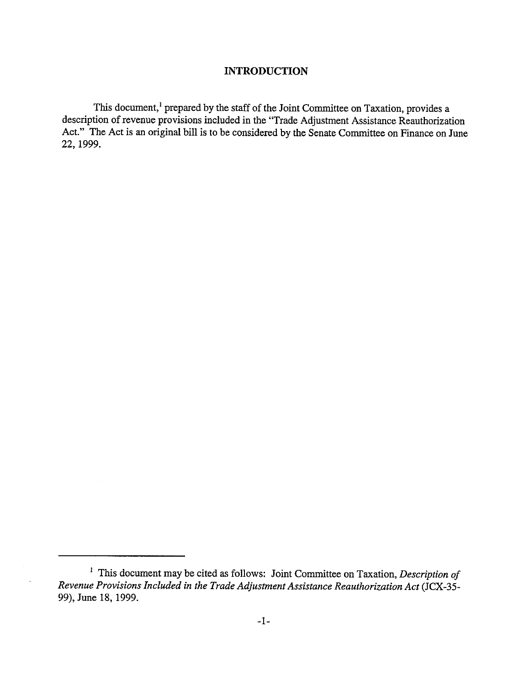#### **INTRODUCTION**

This document,<sup>1</sup> prepared by the staff of the Joint Committee on Taxation, provides a description of revenue provisions included in the "Trade Adjustment Assistance Reauthorization Act." The Act is an original bill is to be considered by the Senate Committee on Finance on June 22, 1999.

 $\ddot{\phantom{a}}$ 

<sup>1</sup> This document may be cited as follows: Joint Committee on Taxation, *Description of Revenue Provisions Included in the Trade Adjustment Assistance Reauthorization Act* (JCX-35- 99), June 18, 1999.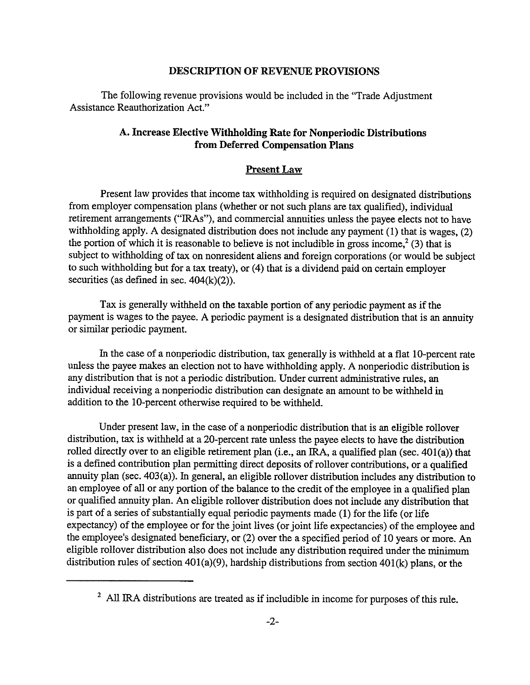#### **DESCRIPTION OF REVENUE PROVISIONS**

The following revenue provisions would be included in the "Trade Adjustment Assistance Reauthorization Act."

## **A. Increase Elective Withholding Rate for Nonperiodic Distributions from Deferred Compensation Plans**

#### **Present Law**

Present law provides that income tax withholding is required on designated distributions from employer compensation plans (whether or not such plans are tax qualified), individual retirement arrangements ("IRAs"), and commercial annuities unless the payee elects not to have withholding apply. A designated distribution does not include any payment (I) that is wages, (2) the portion of which it is reasonable to believe is not includible in gross income,<sup>2</sup>(3) that is subject to withholding of tax on nonresident aliens and foreign corporations (or would be subject to such withholding but for a tax treaty), or (4) that is a dividend paid on certain employer securities (as defined in sec.  $404(k)(2)$ ).

Tax is generally withheld on the taxable portion of any periodic payment as if the payment is wages to the payee. A periodic payment is a designated distribution that is an annuity or similar periodic payment.

In the case of a nonperiodic distribution, tax generally is withheld at a flat IO-percent rate unless the payee makes an election not to have withholding apply. A nonperiodic distribution is any distribution that is not a periodic distribution. Under current administrative rules, an individual receiving a nonperiodic distribution can designate an amount to be withheld in addition to the IO-percent otherwise required to be withheld.

Under present law, in the case of a nonperiodic distribution that is an eligible rollover distribution, tax is withheld at a 20-percent rate unless the payee elects to have the distribution rolled directly over to an eligible retirement plan (i.e., an IRA, a qualified plan (sec. 401(a)) that is a defined contribution plan permitting direct deposits of rollover contributions, or a qualified annuity plan (sec. 403(a)). In general, an eligible rollover distribution includes any distribution to an employee of all or any portion of the balance to the credit of the employee in a qualified plan or qualified annuity plan. An eligible rollover distribution does not include any distribution that is part of a series of substantially equal periodic payments made (1) for the life (or life expectancy) of the employee or for the joint lives (or joint life expectancies) of the employee and the employee's designated beneficiary, or (2) over the a specified period of 10 years or more. An eligible rollover distribution also does not include any distribution required under the minimum distribution rules of section 401(a)(9), hardship distributions from section 401(k) plans, or the

<sup>&</sup>lt;sup>2</sup> All IRA distributions are treated as if includible in income for purposes of this rule.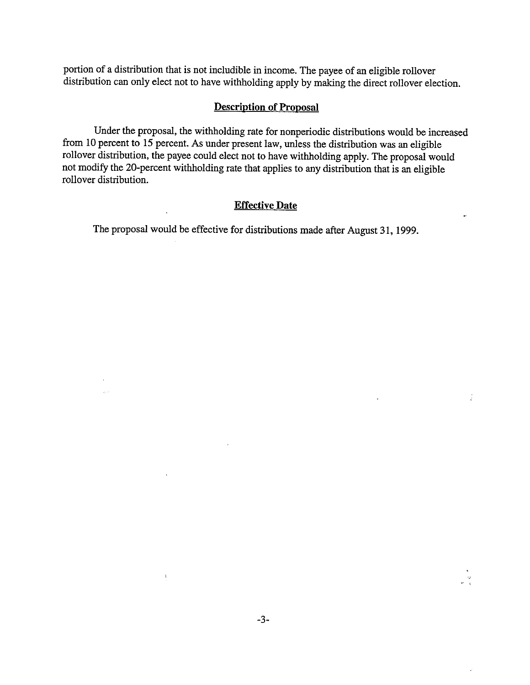portion of a distribution that is not includible in income. The payee of an eligible rollover distribution can only elect not to have withholding apply by making the direct rollover election.

#### **Description of Proposal**

Under the proposal, the withholding rate for nonperiodic distributions would be increased from 10 percent to 15 percent. As under present law, unless the distribution was an eligible rollover distribution, the payee could elect not to have withholding apply. The proposal would not modify the 20-percent withholding rate that applies to any distribution that is an eligible rollover distribution.

### **Effective Date**

The proposal would be effective for distributions made after August 31, 1999.

 $\sqrt{2}$  ,  $\sqrt{2}$ 

 $\mathfrak{p}_\mathbb{C}$ 

 $"$   $\in$ 

÷,

 $\mathbb{R}^2$ 

÷